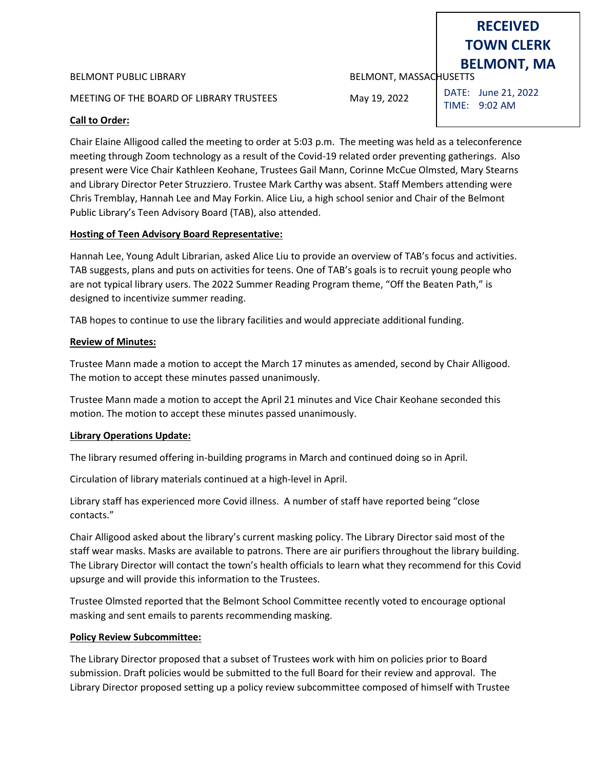#### BELMONT PUBLIC LIBRARY **BELMONT, MASSACHUSETTS**

MEETING OF THE BOARD OF LIBRARY TRUSTEES May 19, 2022

DATE: June 21, 2022 TIME: 9:02 AM

## **Call to Order:**

Chair Elaine Alligood called the meeting to order at 5:03 p.m. The meeting was held as a teleconference meeting through Zoom technology as a result of the Covid-19 related order preventing gatherings. Also present were Vice Chair Kathleen Keohane, Trustees Gail Mann, Corinne McCue Olmsted, Mary Stearns and Library Director Peter Struzziero. Trustee Mark Carthy was absent. Staff Members attending were Chris Tremblay, Hannah Lee and May Forkin. Alice Liu, a high school senior and Chair of the Belmont Public Library's Teen Advisory Board (TAB), also attended.

## **Hosting of Teen Advisory Board Representative:**

Hannah Lee, Young Adult Librarian, asked Alice Liu to provide an overview of TAB's focus and activities. TAB suggests, plans and puts on activities for teens. One of TAB's goals is to recruit young people who are not typical library users. The 2022 Summer Reading Program theme, "Off the Beaten Path," is designed to incentivize summer reading.

TAB hopes to continue to use the library facilities and would appreciate additional funding.

## **Review of Minutes:**

Trustee Mann made a motion to accept the March 17 minutes as amended, second by Chair Alligood. The motion to accept these minutes passed unanimously.

Trustee Mann made a motion to accept the April 21 minutes and Vice Chair Keohane seconded this motion. The motion to accept these minutes passed unanimously.

## **Library Operations Update:**

The library resumed offering in-building programs in March and continued doing so in April.

Circulation of library materials continued at a high-level in April.

Library staff has experienced more Covid illness. A number of staff have reported being "close contacts."

Chair Alligood asked about the library's current masking policy. The Library Director said most of the staff wear masks. Masks are available to patrons. There are air purifiers throughout the library building. The Library Director will contact the town's health officials to learn what they recommend for this Covid upsurge and will provide this information to the Trustees.

Trustee Olmsted reported that the Belmont School Committee recently voted to encourage optional masking and sent emails to parents recommending masking.

## **Policy Review Subcommittee:**

The Library Director proposed that a subset of Trustees work with him on policies prior to Board submission. Draft policies would be submitted to the full Board for their review and approval. The Library Director proposed setting up a policy review subcommittee composed of himself with Trustee

# **RECEIVED TOWN CLERK BELMONT, MA**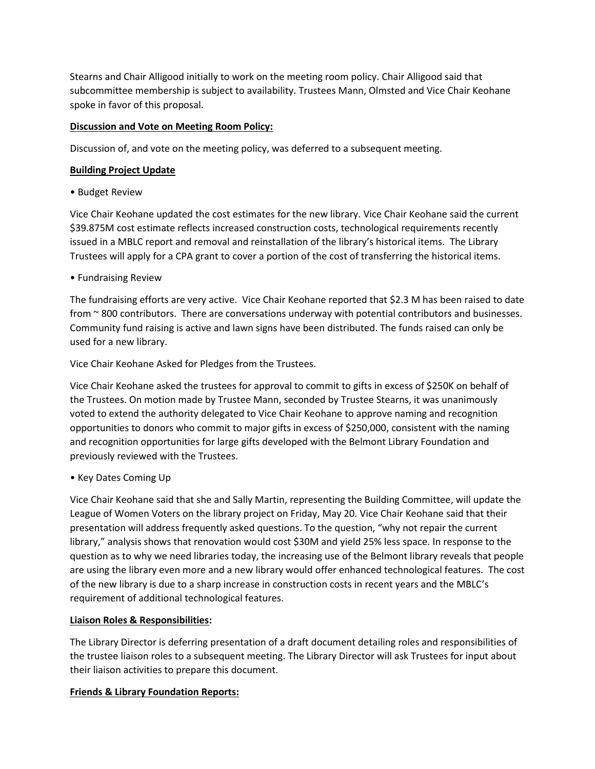Stearns and Chair Alligood initially to work on the meeting room policy. Chair Alligood said that subcommittee membership is subject to availability. Trustees Mann, Olmsted and Vice Chair Keohane spoke in favor of this proposal.

## **Discussion and Vote on Meeting Room Policy:**

Discussion of, and vote on the meeting policy, was deferred to a subsequent meeting.

## **Building Project Update**

• Budget Review

Vice Chair Keohane updated the cost estimates for the new library. Vice Chair Keohane said the current \$39.875M cost estimate reflects increased construction costs, technological requirements recently issued in a MBLC report and removal and reinstallation of the library's historical items. The Library Trustees will apply for a CPA grant to cover a portion of the cost of transferring the historical items.

• Fundraising Review

The fundraising efforts are very active. Vice Chair Keohane reported that \$2.3 M has been raised to date from ~ 800 contributors. There are conversations underway with potential contributors and businesses. Community fund raising is active and lawn signs have been distributed. The funds raised can only be used for a new library.

Vice Chair Keohane Asked for Pledges from the Trustees.

Vice Chair Keohane asked the trustees for approval to commit to gifts in excess of \$250K on behalf of the Trustees. On motion made by Trustee Mann, seconded by Trustee Stearns, it was unanimously voted to extend the authority delegated to Vice Chair Keohane to approve naming and recognition opportunities to donors who commit to major gifts in excess of \$250,000, consistent with the naming and recognition opportunities for large gifts developed with the Belmont Library Foundation and previously reviewed with the Trustees.

• Key Dates Coming Up

Vice Chair Keohane said that she and Sally Martin, representing the Building Committee, will update the League of Women Voters on the library project on Friday, May 20. Vice Chair Keohane said that their presentation will address frequently asked questions. To the question, "why not repair the current library," analysis shows that renovation would cost \$30M and yield 25% less space. In response to the question as to why we need libraries today, the increasing use of the Belmont library reveals that people are using the library even more and a new library would offer enhanced technological features. The cost of the new library is due to a sharp increase in construction costs in recent years and the MBLC's requirement of additional technological features.

## **Liaison Roles & Responsibilities:**

The Library Director is deferring presentation of a draft document detailing roles and responsibilities of the trustee liaison roles to a subsequent meeting. The Library Director will ask Trustees for input about their liaison activities to prepare this document.

## **Friends & Library Foundation Reports:**